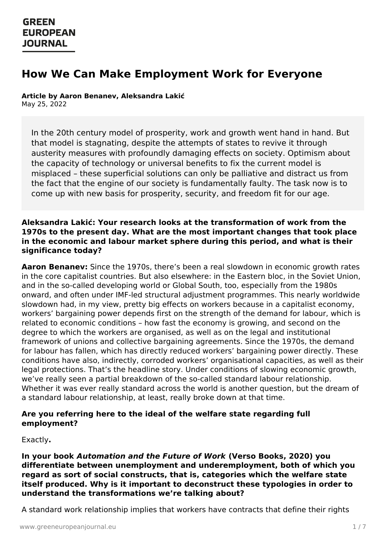# **How We Can Make Employment Work for Everyone**

**Article by Aaron Benanev, Aleksandra Lakić**

May 25, 2022

In the 20th century model of prosperity, work and growth went hand in hand. But that model is stagnating, despite the attempts of states to revive it through austerity measures with profoundly damaging effects on society. Optimism about the capacity of technology or universal benefits to fix the current model is misplaced – these superficial solutions can only be palliative and distract us from the fact that the engine of our society is fundamentally faulty. The task now is to come up with new basis for prosperity, security, and freedom fit for our age.

#### **Aleksandra Lakić: Your research looks at the transformation of work from the 1970s to the present day. What are the most important changes that took place in the economic and labour market sphere during this period, and what is their significance today?**

**Aaron Benanev:** Since the 1970s, there's been a real slowdown in economic growth rates in the core capitalist countries. But also elsewhere: in the Eastern bloc, in the Soviet Union, and in the so-called developing world or Global South, too, especially from the 1980s onward, and often under IMF-led structural adjustment programmes. This nearly worldwide slowdown had, in my view, pretty big effects on workers because in a capitalist economy, workers' bargaining power depends first on the strength of the demand for labour, which is related to economic conditions – how fast the economy is growing, and second on the degree to which the workers are organised, as well as on the legal and institutional framework of unions and collective bargaining agreements. Since the 1970s, the demand for labour has fallen, which has directly reduced workers' bargaining power directly. These conditions have also, indirectly, corroded workers' organisational capacities, as well as their legal protections. That's the headline story. Under conditions of slowing economic growth, we've really seen a partial breakdown of the so-called standard labour relationship. Whether it was ever really standard across the world is another question, but the dream of a standard labour relationship, at least, really broke down at that time.

#### **Are you referring here to the ideal of the welfare state regarding full employment?**

Exactly**.**

**In your book [Automatio](https://www.greeneuropeanjournal.eu)n and the Future of Work (Verso Books, 2020) you differentiate between unemployment and underemployment, both of which you regard as sort of social constructs, that is, categories which the welfare state itself produced. Why is it important to deconstruct these typologies in order to understand the transformations we're talking about?**

A standard work relationship implies that workers have contracts that define their rights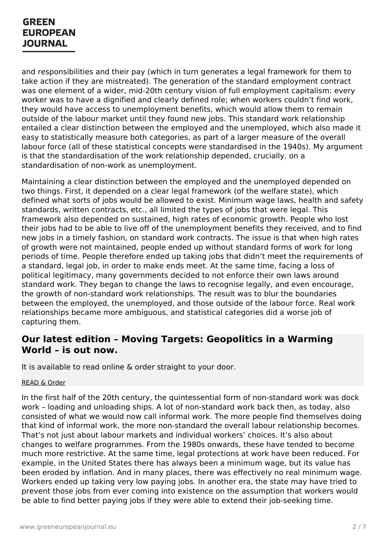and responsibilities and their pay (which in turn generates a legal framework for them to take action if they are mistreated). The generation of the standard employment contract was one element of a wider, mid-20th century vision of full employment capitalism: every worker was to have a dignified and clearly defined role; when workers couldn't find work, they would have access to unemployment benefits, which would allow them to remain outside of the labour market until they found new jobs. This standard work relationship entailed a clear distinction between the employed and the unemployed, which also made it easy to statistically measure both categories, as part of a larger measure of the overall labour force (all of these statistical concepts were standardised in the 1940s). My argument is that the standardisation of the work relationship depended, crucially, on a standardisation of non-work as unemployment.

Maintaining a clear distinction between the employed and the unemployed depended on two things. First, it depended on a clear legal framework (of the welfare state), which defined what sorts of jobs would be allowed to exist. Minimum wage laws, health and safety standards, written contracts, etc., all limited the types of jobs that were legal. This framework also depended on sustained, high rates of economic growth. People who lost their jobs had to be able to live off of the unemployment benefits they received, and to find new jobs in a timely fashion, on standard work contracts. The issue is that when high rates of growth were not maintained, people ended up without standard forms of work for long periods of time. People therefore ended up taking jobs that didn't meet the requirements of a standard, legal job, in order to make ends meet. At the same time, facing a loss of political legitimacy, many governments decided to not enforce their own laws around standard work. They began to change the laws to recognise legally, and even encourage, the growth of non-standard work relationships. The result was to blur the boundaries between the employed, the unemployed, and those outside of the labour force. Real work relationships became more ambiguous, and statistical categories did a worse job of capturing them.

### **Our latest edition – Moving Targets: Geopolitics in a Warming World – is out now.**

It is available to read online & order straight to your door.

#### [READ](https://www.greeneuropeanjournal.eu/edition/moving-targets/) & Order

In the first half of the 20th century, the quintessential form of non-standard work was dock work – loading and unloading ships. A lot of non-standard work back then, as today, also consisted of what we would now call informal work. The more people find themselves doing that kind of informal work, the more non-standard the overall labour relationship becomes. That's not just about labour markets and individual workers' choices. It's also about changes to welfare programmes. From the 1980s onwards, these have tended to become much more [restrictive.](https://www.greeneuropeanjournal.eu) At the same time, legal protections at work have been reduced. For example, in the United States there has always been a minimum wage, but its value has been eroded by inflation. And in many places, there was effectively no real minimum wage. Workers ended up taking very low paying jobs. In another era, the state may have tried to prevent those jobs from ever coming into existence on the assumption that workers would be able to find better paying jobs if they were able to extend their job-seeking time.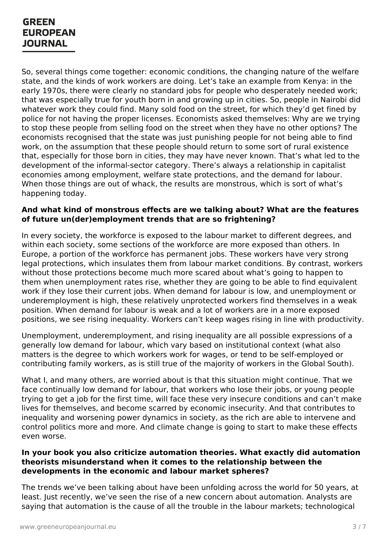So, several things come together: economic conditions, the changing nature of the welfare state, and the kinds of work workers are doing. Let's take an example from Kenya: in the early 1970s, there were clearly no standard jobs for people who desperately needed work; that was especially true for youth born in and growing up in cities. So, people in Nairobi did whatever work they could find. Many sold food on the street, for which they'd get fined by police for not having the proper licenses. Economists asked themselves: Why are we trying to stop these people from selling food on the street when they have no other options? The economists recognised that the state was just punishing people for not being able to find work, on the assumption that these people should return to some sort of rural existence that, especially for those born in cities, they may have never known. That's what led to the development of the informal-sector category. There's always a relationship in capitalist economies among employment, welfare state protections, and the demand for labour. When those things are out of whack, the results are monstrous, which is sort of what's happening today.

#### **And what kind of monstrous effects are we talking about? What are the features of future un(der)employment trends that are so frightening?**

In every society, the workforce is exposed to the labour market to different degrees, and within each society, some sections of the workforce are more exposed than others. In Europe, a portion of the workforce has permanent jobs. These workers have very strong legal protections, which insulates them from labour market conditions. By contrast, workers without those protections become much more scared about what's going to happen to them when unemployment rates rise, whether they are going to be able to find equivalent work if they lose their current jobs. When demand for labour is low, and unemployment or underemployment is high, these relatively unprotected workers find themselves in a weak position. When demand for labour is weak and a lot of workers are in a more exposed positions, we see rising inequality. Workers can't keep wages rising in line with productivity.

Unemployment, underemployment, and rising inequality are all possible expressions of a generally low demand for labour, which vary based on institutional context (what also matters is the degree to which workers work for wages, or tend to be self-employed or contributing family workers, as is still true of the majority of workers in the Global South).

What I, and many others, are worried about is that this situation might continue. That we face continually low demand for labour, that workers who lose their jobs, or young people trying to get a job for the first time, will face these very insecure conditions and can't make lives for themselves, and become scarred by economic insecurity. And that contributes to inequality and worsening power dynamics in society, as the rich are able to intervene and control politics more and more. And climate change is going to start to make these effects even worse.

#### **In your book you also criticize automation theories. What exactly did automation theorists [misunderstan](https://www.greeneuropeanjournal.eu)d when it comes to the relationship between the developments in the economic and labour market spheres?**

The trends we've been talking about have been unfolding across the world for 50 years, at least. Just recently, we've seen the rise of a new concern about automation. Analysts are saying that automation is the cause of all the trouble in the labour markets; technological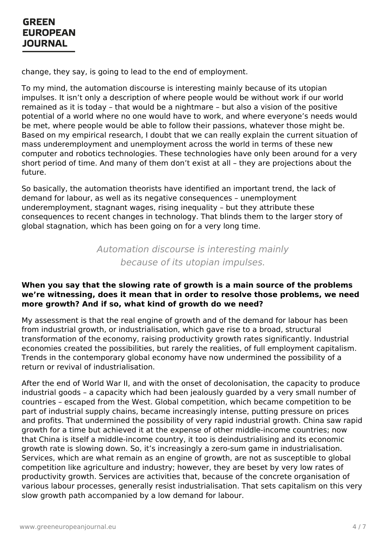change, they say, is going to lead to the end of employment.

To my mind, the automation discourse is interesting mainly because of its utopian impulses. It isn't only a description of where people would be without work if our world remained as it is today – that would be a nightmare – but also a vision of the positive potential of a world where no one would have to work, and where everyone's needs would be met, where people would be able to follow their passions, whatever those might be. Based on my empirical research, I doubt that we can really explain the current situation of mass underemployment and unemployment across the world in terms of these new computer and robotics technologies. These technologies have only been around for a very short period of time. And many of them don't exist at all – they are projections about the future.

So basically, the automation theorists have identified an important trend, the lack of demand for labour, as well as its negative consequences – unemployment underemployment, stagnant wages, rising inequality – but they attribute these consequences to recent changes in technology. That blinds them to the larger story of global stagnation, which has been going on for a very long time.

> Automation discourse is interesting mainly because of its utopian impulses.

#### **When you say that the slowing rate of growth is a main source of the problems we're witnessing, does it mean that in order to resolve those problems, we need more growth? And if so, what kind of growth do we need?**

My assessment is that the real engine of growth and of the demand for labour has been from industrial growth, or industrialisation, which gave rise to a broad, structural transformation of the economy, raising productivity growth rates significantly. Industrial economies created the possibilities, but rarely the realities, of full employment capitalism. Trends in the contemporary global economy have now undermined the possibility of a return or revival of industrialisation.

After the end of World War II, and with the onset of decolonisation, the capacity to produce industrial goods – a capacity which had been jealously guarded by a very small number of countries – escaped from the West. Global competition, which became competition to be part of industrial supply chains, became increasingly intense, putting pressure on prices and profits. That undermined the possibility of very rapid industrial growth. China saw rapid growth for a time but achieved it at the expense of other middle-income countries; now that China is itself a middle-income country, it too is deindustrialising and its economic growth rate is slowing down. So, it's increasingly a zero-sum game in industrialisation. [Services,](https://www.greeneuropeanjournal.eu) which are what remain as an engine of growth, are not as susceptible to global competition like agriculture and industry; however, they are beset by very low rates of productivity growth. Services are activities that, because of the concrete organisation of various labour processes, generally resist industrialisation. That sets capitalism on this very slow growth path accompanied by a low demand for labour.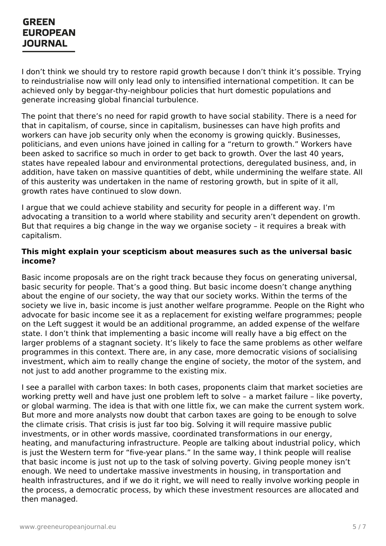I don't think we should try to restore rapid growth because I don't think it's possible. Trying to reindustrialise now will only lead only to intensified international competition. It can be achieved only by beggar-thy-neighbour policies that hurt domestic populations and generate increasing global financial turbulence.

The point that there's no need for rapid growth to have social stability. There is a need for that in capitalism, of course, since in capitalism, businesses can have high profits and workers can have job security only when the economy is growing quickly. Businesses, politicians, and even unions have joined in calling for a "return to growth." Workers have been asked to sacrifice so much in order to get back to growth. Over the last 40 years, states have repealed labour and environmental protections, deregulated business, and, in addition, have taken on massive quantities of debt, while undermining the welfare state. All of this austerity was undertaken in the name of restoring growth, but in spite of it all, growth rates have continued to slow down.

I argue that we could achieve stability and security for people in a different way. I'm advocating a transition to a world where stability and security aren't dependent on growth. But that requires a big change in the way we organise society – it requires a break with capitalism.

#### **This might explain your scepticism about measures such as the universal basic income?**

Basic income proposals are on the right track because they focus on generating universal, basic security for people. That's a good thing. But basic income doesn't change anything about the engine of our society, the way that our society works. Within the terms of the society we live in, basic income is just another welfare programme. People on the Right who advocate for basic income see it as a replacement for existing welfare programmes; people on the Left suggest it would be an additional programme, an added expense of the welfare state. I don't think that implementing a basic income will really have a big effect on the larger problems of a stagnant society. It's likely to face the same problems as other welfare programmes in this context. There are, in any case, more democratic visions of socialising investment, which aim to really change the engine of society, the motor of the system, and not just to add another programme to the existing mix.

I see a parallel with carbon taxes: In both cases, proponents claim that market societies are working pretty well and have just one problem left to solve – a market failure – like poverty, or global warming. The idea is that with one little fix, we can make the current system work. But more and more analysts now doubt that carbon taxes are going to be enough to solve the climate crisis. That crisis is just far too big. Solving it will require massive public investments, or in other words massive, coordinated transformations in our energy, heating, and manufacturing infrastructure. People are talking about industrial policy, which is just the Western term for "five-year plans." In the same way, I think people will realise that basic [income](https://www.greeneuropeanjournal.eu) is just not up to the task of solving poverty. Giving people money isn't enough. We need to undertake massive investments in housing, in transportation and health infrastructures, and if we do it right, we will need to really involve working people in the process, a democratic process, by which these investment resources are allocated and then managed.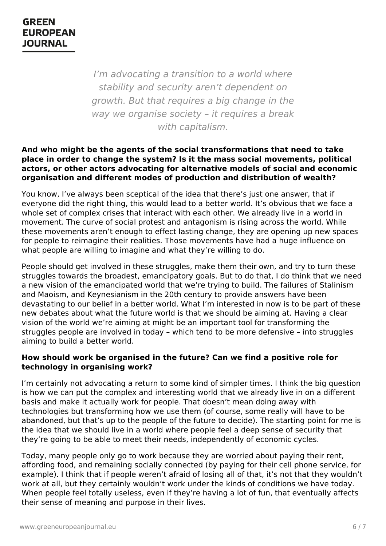I'm advocating a transition to a world where stability and security aren't dependent on growth. But that requires a big change in the way we organise society - it requires a break with capitalism.

#### **And who might be the agents of the social transformations that need to take place in order to change the system? Is it the mass social movements, political actors, or other actors advocating for alternative models of social and economic organisation and different modes of production and distribution of wealth?**

You know, I've always been sceptical of the idea that there's just one answer, that if everyone did the right thing, this would lead to a better world. It's obvious that we face a whole set of complex crises that interact with each other. We already live in a world in movement. The curve of social protest and antagonism is rising across the world. While these movements aren't enough to effect lasting change, they are opening up new spaces for people to reimagine their realities. Those movements have had a huge influence on what people are willing to imagine and what they're willing to do.

People should get involved in these struggles, make them their own, and try to turn these struggles towards the broadest, emancipatory goals. But to do that, I do think that we need a new vision of the emancipated world that we're trying to build. The failures of Stalinism and Maoism, and Keynesianism in the 20th century to provide answers have been devastating to our belief in a better world. What I'm interested in now is to be part of these new debates about what the future world is that we should be aiming at. Having a clear vision of the world we're aiming at might be an important tool for transforming the struggles people are involved in today – which tend to be more defensive – into struggles aiming to build a better world.

#### **How should work be organised in the future? Can we find a positive role for technology in organising work?**

I'm certainly not advocating a return to some kind of simpler times. I think the big question is how we can put the complex and interesting world that we already live in on a different basis and make it actually work for people. That doesn't mean doing away with technologies but transforming how we use them (of course, some really will have to be abandoned, but that's up to the people of the future to decide). The starting point for me is the idea that we should live in a world where people feel a deep sense of security that they're going to be able to meet their needs, independently of economic cycles.

Today, many [people](https://www.greeneuropeanjournal.eu) only go to work because they are worried about paying their rent, affording food, and remaining socially connected (by paying for their cell phone service, for example). I think that if people weren't afraid of losing all of that, it's not that they wouldn't work at all, but they certainly wouldn't work under the kinds of conditions we have today. When people feel totally useless, even if they're having a lot of fun, that eventually affects their sense of meaning and purpose in their lives.